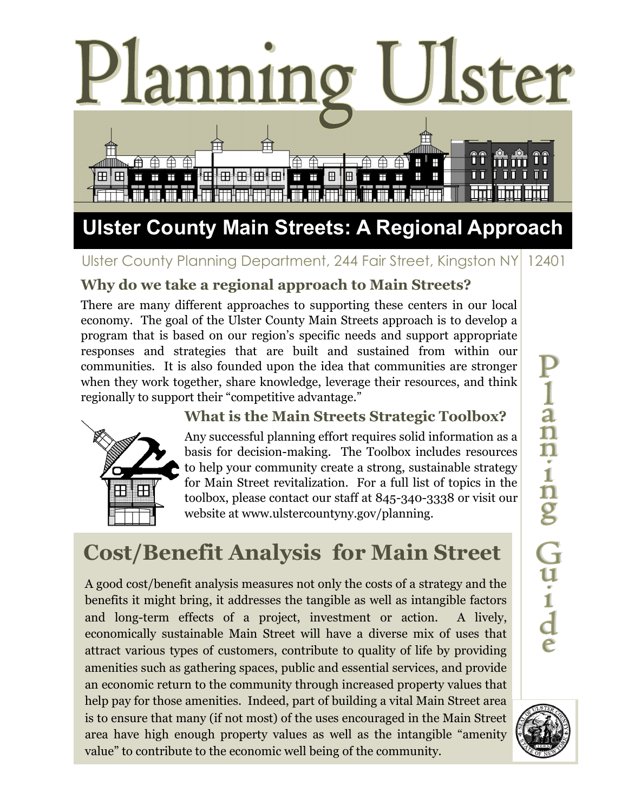

# Ulster County Planning Department, 244 Fair Street, Kingston NY 12401

# **Why do we take a regional approach to Main Streets?**

There are many different approaches to supporting these centers in our local economy. The goal of the Ulster County Main Streets approach is to develop a program that is based on our region's specific needs and support appropriate responses and strategies that are built and sustained from within our communities. It is also founded upon the idea that communities are stronger when they work together, share knowledge, leverage their resources, and think regionally to support their "competitive advantage."



## **What is the Main Streets Strategic Toolbox?**

Any successful planning effort requires solid information as a basis for decision-making. The Toolbox includes resources to help your community create a strong, sustainable strategy for Main Street revitalization. For a full list of topics in the toolbox, please contact our staff at 845-340-3338 or visit our website at www.ulstercountyny.gov/planning.

# **Cost/Benefit Analysis for Main Street**

A good cost/benefit analysis measures not only the costs of a strategy and the benefits it might bring, it addresses the tangible as well as intangible factors and long-term effects of a project, investment or action. A lively, economically sustainable Main Street will have a diverse mix of uses that attract various types of customers, contribute to quality of life by providing amenities such as gathering spaces, public and essential services, and provide an economic return to the community through increased property values that help pay for those amenities. Indeed, part of building a vital Main Street area is to ensure that many (if not most) of the uses encouraged in the Main Street area have high enough property values as well as the intangible "amenity value" to contribute to the economic well being of the community.

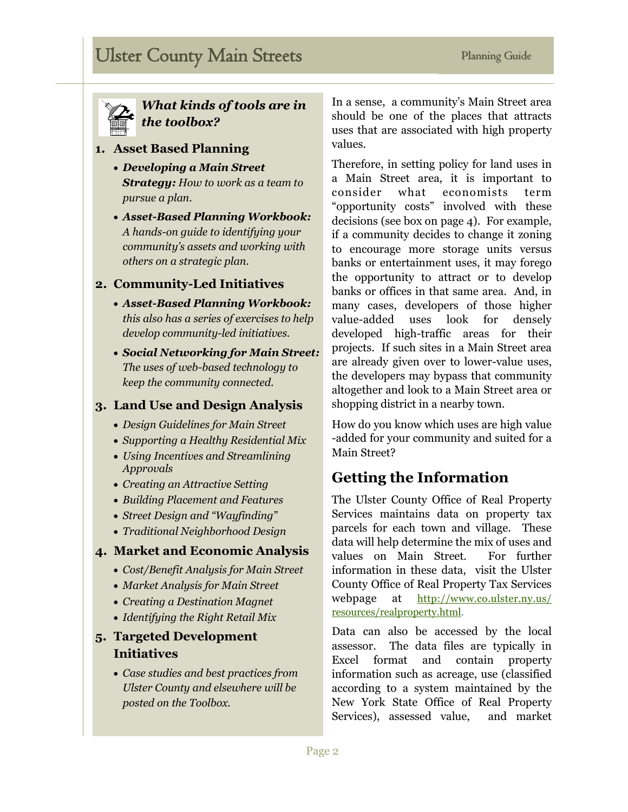

#### *What kinds of tools are in the toolbox?*

#### **1. Asset Based Planning**

- *Developing a Main Street Strategy: How to work as a team to pursue a plan.*
- *Asset-Based Planning Workbook: A hands-on guide to identifying your community's assets and working with others on a strategic plan.*

#### **2. Community-Led Initiatives**

- *Asset-Based Planning Workbook: this also has a series of exercises to help develop community-led initiatives.*
- *Social Networking for Main Street: The uses of web-based technology to keep the community connected.*

#### **3. Land Use and Design Analysis**

- *Design Guidelines for Main Street*
- *Supporting a Healthy Residential Mix*
- *Using Incentives and Streamlining Approvals*
- *Creating an Attractive Setting*
- *Building Placement and Features*
- *Street Design and "Wayfinding"*
- *Traditional Neighborhood Design*

#### **4. Market and Economic Analysis**

- *Cost/Benefit Analysis for Main Street*
- *Market Analysis for Main Street*
- *Creating a Destination Magnet*
- *Identifying the Right Retail Mix*

#### **5. Targeted Development Initiatives**

 *Case studies and best practices from Ulster County and elsewhere will be posted on the Toolbox.*

In a sense, a community's Main Street area should be one of the places that attracts uses that are associated with high property values.

Therefore, in setting policy for land uses in a Main Street area, it is important to consider what economists term "opportunity costs" involved with these decisions (see box on page 4). For example, if a community decides to change it zoning to encourage more storage units versus banks or entertainment uses, it may forego the opportunity to attract or to develop banks or offices in that same area. And, in many cases, developers of those higher value-added uses look for densely developed high-traffic areas for their projects. If such sites in a Main Street area are already given over to lower-value uses, the developers may bypass that community altogether and look to a Main Street area or shopping district in a nearby town.

How do you know which uses are high value -added for your community and suited for a Main Street?

#### **Getting the Information**

The Ulster County Office of Real Property Services maintains data on property tax parcels for each town and village. These data will help determine the mix of uses and values on Main Street. For further information in these data, visit the Ulster County Office of Real Property Tax Services webpage at [http://www.co.ulster.ny.us/](http://www.co.ulster.ny.us/resources/realproperty.html) [resources/realproperty.html.](http://www.co.ulster.ny.us/resources/realproperty.html)

Data can also be accessed by the local assessor. The data files are typically in Excel format and contain property information such as acreage, use (classified according to a system maintained by the New York State Office of Real Property Services), assessed value, and market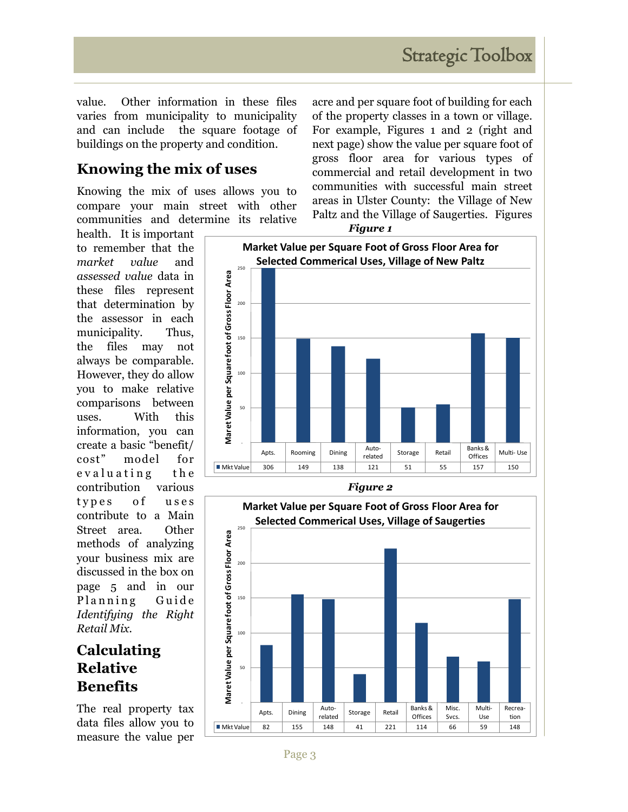value. Other information in these files varies from municipality to municipality and can include the square footage of buildings on the property and condition.

# **Knowing the mix of uses**

Knowing the mix of uses allows you to compare your main street with other communities and determine its relative

health. It is important to remember that the *market value* and *assessed value* data in these files represent that determination by the assessor in each municipality. Thus, the files may not always be comparable. However, they do allow you to make relative comparisons between uses. With this information, you can create a basic "benefit/ cost" model for evaluating the contribution various types of uses contribute to a Main Street area. Other methods of analyzing your business mix are discussed in the box on page 5 and in our Planning Guide *Identifying the Right Retail Mix.*

## **Calculating Relative Benefits**

The real property tax data files allow you to measure the value per acre and per square foot of building for each of the property classes in a town or village. For example, Figures 1 and 2 (right and next page) show the value per square foot of gross floor area for various types of commercial and retail development in two communities with successful main street areas in Ulster County: the Village of New Paltz and the Village of Saugerties. Figures



*Figure 1*



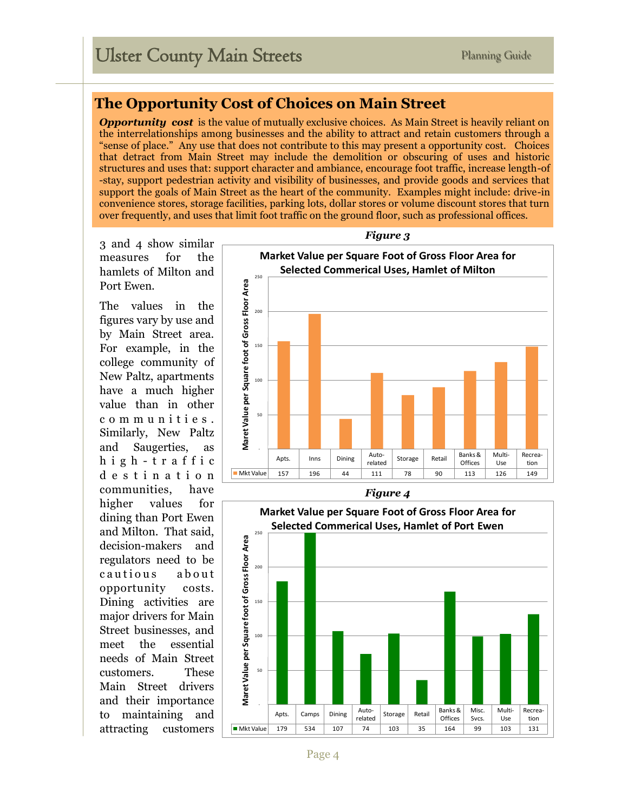### **The Opportunity Cost of Choices on Main Street**

*Opportunity cost* is the value of mutually exclusive choices. As Main Street is heavily reliant on the interrelationships among businesses and the ability to attract and retain customers through a "sense of place." Any use that does not contribute to this may present a opportunity cost. Choices that detract from Main Street may include the demolition or obscuring of uses and historic structures and uses that: support character and ambiance, encourage foot traffic, increase length-of -stay, support pedestrian activity and visibility of businesses, and provide goods and services that support the goals of Main Street as the heart of the community. Examples might include: drive-in convenience stores, storage facilities, parking lots, dollar stores or volume discount stores that turn over frequently, and uses that limit foot traffic on the ground floor, such as professional offices.

3 and 4 show similar measures for the hamlets of Milton and Port Ewen.

The values in the figures vary by use and by Main Street area. For example, in the college community of New Paltz, apartments have a much higher value than in other c o m m u n i t i e s . Similarly, New Paltz and Saugerties, as h i g h - t r a f f i c d e s t i n a t i o n communities, have higher values for dining than Port Ewen and Milton. That said, decision-makers and regulators need to be cautious about opportunity costs. Dining activities are major drivers for Main Street businesses, and meet the essential needs of Main Street customers. These Main Street drivers and their importance to maintaining and attracting customers



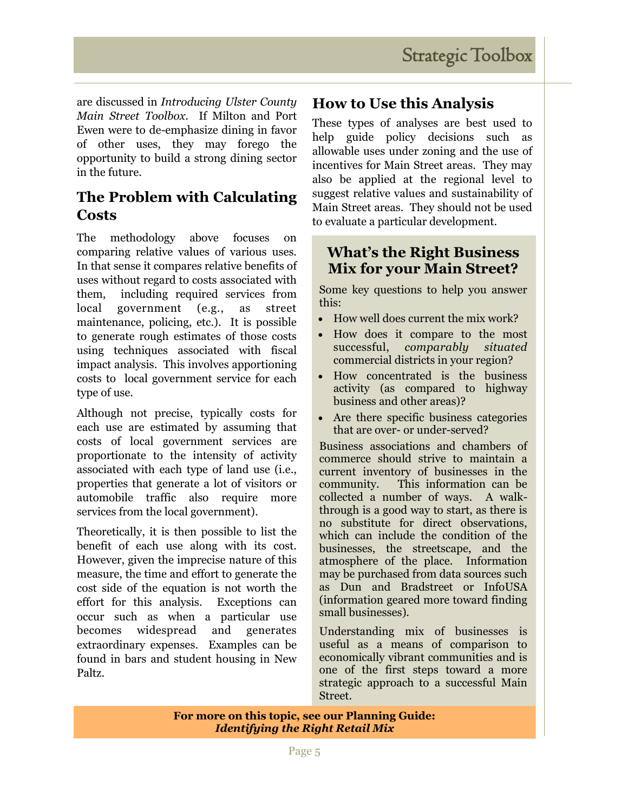are discussed in *Introducing Ulster County Main Street Toolbox*. If Milton and Port Ewen were to de-emphasize dining in favor of other uses, they may forego the opportunity to build a strong dining sector in the future.

## **The Problem with Calculating Costs**

The methodology above focuses on comparing relative values of various uses. In that sense it compares relative benefits of uses without regard to costs associated with them, including required services from local government (e.g., as street maintenance, policing, etc.). It is possible to generate rough estimates of those costs using techniques associated with fiscal impact analysis. This involves apportioning costs to local government service for each type of use.

Although not precise, typically costs for each use are estimated by assuming that costs of local government services are proportionate to the intensity of activity associated with each type of land use (i.e., properties that generate a lot of visitors or automobile traffic also require more services from the local government).

Theoretically, it is then possible to list the benefit of each use along with its cost. However, given the imprecise nature of this measure, the time and effort to generate the cost side of the equation is not worth the effort for this analysis. Exceptions can occur such as when a particular use becomes widespread and generates extraordinary expenses. Examples can be found in bars and student housing in New Paltz.

## **How to Use this Analysis**

These types of analyses are best used to help guide policy decisions such as allowable uses under zoning and the use of incentives for Main Street areas. They may also be applied at the regional level to suggest relative values and sustainability of Main Street areas. They should not be used to evaluate a particular development.

### **What's the Right Business Mix for your Main Street?**

Some key questions to help you answer this:

- How well does current the mix work?
- How does it compare to the most successful, *comparably situated* commercial districts in your region?
- How concentrated is the business activity (as compared to highway business and other areas)?
- Are there specific business categories that are over- or under-served?

Business associations and chambers of commerce should strive to maintain a current inventory of businesses in the community. This information can be collected a number of ways. A walkthrough is a good way to start, as there is no substitute for direct observations, which can include the condition of the businesses, the streetscape, and the atmosphere of the place. Information may be purchased from data sources such as Dun and Bradstreet or InfoUSA (information geared more toward finding small businesses).

Understanding mix of businesses is useful as a means of comparison to economically vibrant communities and is one of the first steps toward a more strategic approach to a successful Main Street.

**For more on this topic, see our Planning Guide:**  *Identifying the Right Retail Mix*